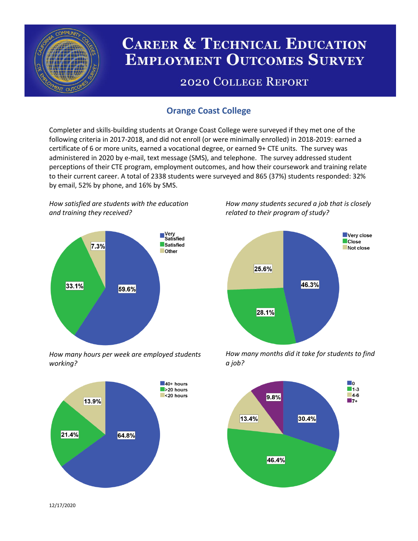

# **CAREER & TECHNICAL EDUCATION EMPLOYMENT OUTCOMES SURVEY**

## **2020 COLLEGE REPORT**

## **Orange Coast College**

Completer and skills-building students at Orange Coast College were surveyed if they met one of the following criteria in 2017-2018, and did not enroll (or were minimally enrolled) in 2018-2019: earned a certificate of 6 or more units, earned a vocational degree, or earned 9+ CTE units. The survey was administered in 2020 by e-mail, text message (SMS), and telephone. The survey addressed student perceptions of their CTE program, employment outcomes, and how their coursework and training relate to their current career. A total of 2338 students were surveyed and 865 (37%) students responded: 32% by email, 52% by phone, and 16% by SMS.

*How satisfied are students with the education and training they received?*



*How many hours per week are employed students working?*



*How many students secured a job that is closely related to their program of study?*



*How many months did it take for students to find a job?*